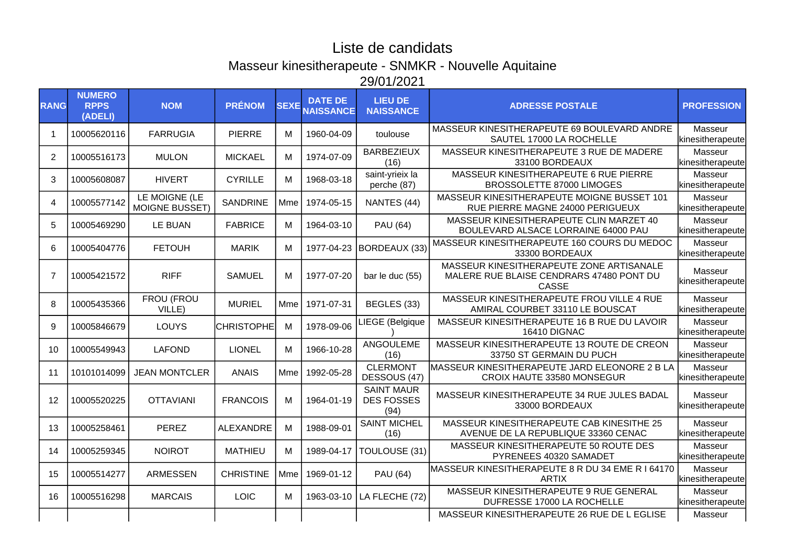## Liste de candidats Masseur kinesitherapeute - SNMKR - Nouvelle Aquitaine 29/01/2021

| <b>RANG</b>    | <b>NUMERO</b><br><b>RPPS</b><br>(ADELI) | <b>NOM</b>                             | <b>PRÉNOM</b>     | <b>SEXE</b> | <b>DATE DE</b><br><b>NAISSANCE</b> | <b>LIEU DE</b><br><b>NAISSANCE</b>             | <b>ADRESSE POSTALE</b>                                                                        | <b>PROFESSION</b>           |
|----------------|-----------------------------------------|----------------------------------------|-------------------|-------------|------------------------------------|------------------------------------------------|-----------------------------------------------------------------------------------------------|-----------------------------|
|                | 10005620116                             | <b>FARRUGIA</b>                        | <b>PIERRE</b>     | M           | 1960-04-09                         | toulouse                                       | MASSEUR KINESITHERAPEUTE 69 BOULEVARD ANDRE<br>SAUTEL 17000 LA ROCHELLE                       | Masseur<br>kinesitherapeute |
| $\overline{2}$ | 10005516173                             | <b>MULON</b>                           | <b>MICKAEL</b>    | M           | 1974-07-09                         | <b>BARBEZIEUX</b><br>(16)                      | MASSEUR KINESITHERAPEUTE 3 RUE DE MADERE<br>33100 BORDEAUX                                    | Masseur<br>kinesitherapeute |
| 3              | 10005608087                             | <b>HIVERT</b>                          | <b>CYRILLE</b>    | M           | 1968-03-18                         | saint-yrieix la<br>perche (87)                 | MASSEUR KINESITHERAPEUTE 6 RUE PIERRE<br>BROSSOLETTE 87000 LIMOGES                            | Masseur<br>kinesitherapeute |
| 4              | 10005577142                             | LE MOIGNE (LE<br><b>MOIGNE BUSSET)</b> | <b>SANDRINE</b>   | Mme         | 1974-05-15                         | NANTES (44)                                    | MASSEUR KINESITHERAPEUTE MOIGNE BUSSET 101<br>RUE PIERRE MAGNE 24000 PERIGUEUX                | Masseur<br>kinesitherapeute |
| 5              | 10005469290                             | <b>LE BUAN</b>                         | <b>FABRICE</b>    | M           | 1964-03-10                         | <b>PAU (64)</b>                                | MASSEUR KINESITHERAPEUTE CLIN MARZET 40<br>BOULEVARD ALSACE LORRAINE 64000 PAU                | Masseur<br>kinesitherapeute |
| 6              | 10005404776                             | <b>FETOUH</b>                          | <b>MARIK</b>      | М           | 1977-04-23                         | BORDEAUX (33)                                  | MASSEUR KINESITHERAPEUTE 160 COURS DU MEDOC<br>33300 BORDEAUX                                 | Masseur<br>kinesitherapeute |
| $\overline{7}$ | 10005421572                             | <b>RIFF</b>                            | <b>SAMUEL</b>     | M           | 1977-07-20                         | bar le duc (55)                                | MASSEUR KINESITHERAPEUTE ZONE ARTISANALE<br>MALERE RUE BLAISE CENDRARS 47480 PONT DU<br>CASSE | Masseur<br>kinesitherapeute |
| 8              | 10005435366                             | FROU (FROU<br>VILLE)                   | <b>MURIEL</b>     | Mme         | 1971-07-31                         | BEGLES (33)                                    | MASSEUR KINESITHERAPEUTE FROU VILLE 4 RUE<br>AMIRAL COURBET 33110 LE BOUSCAT                  | Masseur<br>kinesitherapeute |
| 9              | 10005846679                             | LOUYS                                  | <b>CHRISTOPHE</b> | M           | 1978-09-06                         | LIEGE (Belgique                                | MASSEUR KINESITHERAPEUTE 16 B RUE DU LAVOIR<br>16410 DIGNAC                                   | Masseur<br>kinesitherapeute |
| 10             | 10005549943                             | <b>LAFOND</b>                          | <b>LIONEL</b>     | M           | 1966-10-28                         | ANGOULEME<br>(16)                              | MASSEUR KINESITHERAPEUTE 13 ROUTE DE CREON<br>33750 ST GERMAIN DU PUCH                        | Masseur<br>kinesitherapeute |
| 11             | 10101014099                             | <b>JEAN MONTCLER</b>                   | <b>ANAIS</b>      | Mme l       | 1992-05-28                         | <b>CLERMONT</b><br>DESSOUS (47)                | MASSEUR KINESITHERAPEUTE JARD ELEONORE 2 B LA<br>CROIX HAUTE 33580 MONSEGUR                   | Masseur<br>kinesitherapeute |
| 12             | 10005520225                             | <b>OTTAVIANI</b>                       | <b>FRANCOIS</b>   | M           | 1964-01-19                         | <b>SAINT MAUR</b><br><b>DES FOSSES</b><br>(94) | MASSEUR KINESITHERAPEUTE 34 RUE JULES BADAL<br>33000 BORDEAUX                                 | Masseur<br>kinesitherapeute |
| 13             | 10005258461                             | <b>PEREZ</b>                           | <b>ALEXANDRE</b>  | M           | 1988-09-01                         | <b>SAINT MICHEL</b><br>(16)                    | MASSEUR KINESITHERAPEUTE CAB KINESITHE 25<br>AVENUE DE LA REPUBLIQUE 33360 CENAC              | Masseur<br>kinesitherapeute |
| 14             | 10005259345                             | <b>NOIROT</b>                          | <b>MATHIEU</b>    | M           | 1989-04-17                         | TOULOUSE (31)                                  | MASSEUR KINESITHERAPEUTE 50 ROUTE DES<br>PYRENEES 40320 SAMADET                               | Masseur<br>kinesitherapeute |
| 15             | 10005514277                             | <b>ARMESSEN</b>                        | <b>CHRISTINE</b>  | Mme         | 1969-01-12                         | <b>PAU (64)</b>                                | MASSEUR KINESITHERAPEUTE 8 R DU 34 EME R I 64170<br><b>ARTIX</b>                              | Masseur<br>kinesitherapeute |
| 16             | 10005516298                             | <b>MARCAIS</b>                         | <b>LOIC</b>       | M           | 1963-03-10                         | LA FLECHE (72)                                 | MASSEUR KINESITHERAPEUTE 9 RUE GENERAL<br>DUFRESSE 17000 LA ROCHELLE                          | Masseur<br>kinesitherapeute |
|                |                                         |                                        |                   |             |                                    |                                                | MASSEUR KINESITHERAPEUTE 26 RUE DE L EGLISE                                                   | Masseur                     |